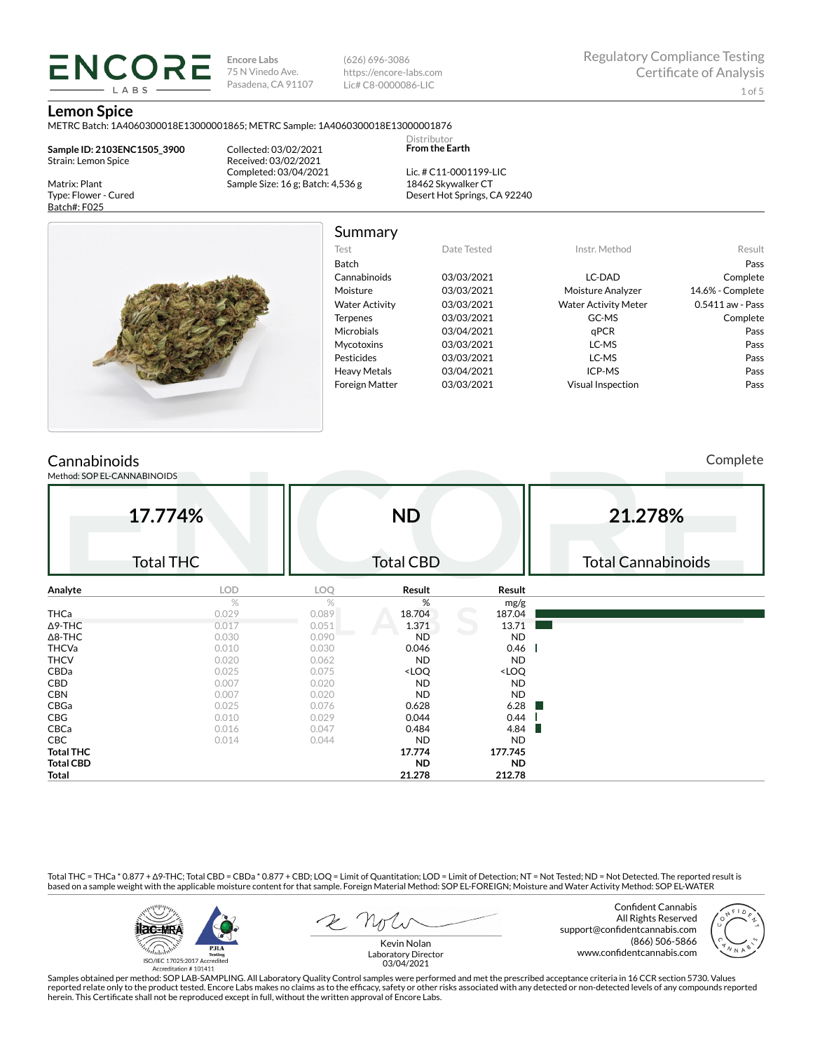**Encore Labs** 75 N Vinedo Ave. Pasadena, CA 91107 (626) 696-3086 https://encore-labs.com Lic# C8-0000086-LIC

> Distributor **From the Earth**

#### **Lemon Spice**

METRC Batch: 1A4060300018E13000001865; METRC Sample: 1A4060300018E13000001876

**Sample ID: 2103ENC1505\_3900** Strain: Lemon Spice

**ENCORE** LABS

Matrix: Plant Type: Flower - Cured Batch#: F025

Collected: 03/02/2021 Received: 03/02/2021 Completed: 03/04/2021 Sample Size: 16 g; Batch: 4,536 g

Lic. # C11-0001199-LIC 18462 Skywalker CT Desert Hot Springs, CA 92240



Summary

| .                     |             |                             |                  |
|-----------------------|-------------|-----------------------------|------------------|
| Test                  | Date Tested | Instr. Method               | Result           |
| <b>Batch</b>          |             |                             | Pass             |
| Cannabinoids          | 03/03/2021  | LC-DAD                      | Complete         |
| Moisture              | 03/03/2021  | Moisture Analyzer           | 14.6% - Complete |
| <b>Water Activity</b> | 03/03/2021  | <b>Water Activity Meter</b> | 0.5411 aw - Pass |
| <b>Terpenes</b>       | 03/03/2021  | GC-MS                       | Complete         |
| <b>Microbials</b>     | 03/04/2021  | aPCR                        | Pass             |
| <b>Mycotoxins</b>     | 03/03/2021  | LC-MS                       | Pass             |
| Pesticides            | 03/03/2021  | LC-MS                       | Pass             |
| <b>Heavy Metals</b>   | 03/04/2021  | ICP-MS                      | Pass             |
| <b>Foreign Matter</b> | 03/03/2021  | Visual Inspection           | Pass             |
|                       |             |                             |                  |

## **Cannabinoids**

Method: SOP EL-CANNABINOIDS

Complete

|                  | 17.774%<br><b>Total THC</b> |       | <b>ND</b><br><b>Total CBD</b>                            |                              | 21.278%<br><b>Total Cannabinoids</b> |
|------------------|-----------------------------|-------|----------------------------------------------------------|------------------------------|--------------------------------------|
| Analyte          | LOD                         | LOQ   | Result                                                   | Result                       |                                      |
|                  | $\%$                        | %     | %                                                        | mg/g                         |                                      |
| THCa             | 0.029                       | 0.089 | 18.704                                                   | 187.04                       |                                      |
| $\Delta$ 9-THC   | 0.017                       | 0.051 | 1.371                                                    | 13.71                        |                                      |
| $\Delta$ 8-THC   | 0.030                       | 0.090 | <b>ND</b>                                                | <b>ND</b>                    |                                      |
| <b>THCVa</b>     | 0.010                       | 0.030 | 0.046                                                    | 0.46                         |                                      |
| <b>THCV</b>      | 0.020                       | 0.062 | ND                                                       | <b>ND</b>                    |                                      |
| CBDa             | 0.025                       | 0.075 | <loq< td=""><td><loq< td=""><td></td></loq<></td></loq<> | <loq< td=""><td></td></loq<> |                                      |
| CBD              | 0.007                       | 0.020 | <b>ND</b>                                                | <b>ND</b>                    |                                      |
| <b>CBN</b>       | 0.007                       | 0.020 | <b>ND</b>                                                | <b>ND</b>                    |                                      |
| CBGa             | 0.025                       | 0.076 | 0.628                                                    | 6.28                         |                                      |
| CBG              | 0.010                       | 0.029 | 0.044                                                    | 0.44                         |                                      |
| CBCa             | 0.016                       | 0.047 | 0.484                                                    | 4.84                         |                                      |
| CBC              | 0.014                       | 0.044 | ND                                                       | <b>ND</b>                    |                                      |
| <b>Total THC</b> |                             |       | 17.774                                                   | 177.745                      |                                      |
| <b>Total CBD</b> |                             |       | ND.                                                      | <b>ND</b>                    |                                      |
| Total            |                             |       | 21.278                                                   | 212.78                       |                                      |

Total THC = THCa \* 0.877 + ∆9-THC; Total CBD = CBDa \* 0.877 + CBD; LOQ = Limit of Quantitation; LOD = Limit of Detection; NT = Not Tested; ND = Not Detected. The reported result is based on a sample weight with the applicable moisture content for that sample. Foreign Material Method: SOP EL-FOREIGN; Moisture and Water Activity Method: SOP EL-WATER



Confident Cannabis All Rights Reserved support@confidentcannabis.com (866) 506-5866 www.confidentcannabis.com



Kevin Nolan Laboratory Director 03/04/2021

Samples obtained per method: SOP LAB-SAMPLING. All Laboratory Quality Control samples were performed and met the prescribed acceptance criteria in 16 CCR section 5730. Values reported relate only to the product tested. Encore Labs makes no claims as to the efficacy, safety or other risks associated with any detected or non-detected levels of any compounds reported<br>herein. This Certificate shall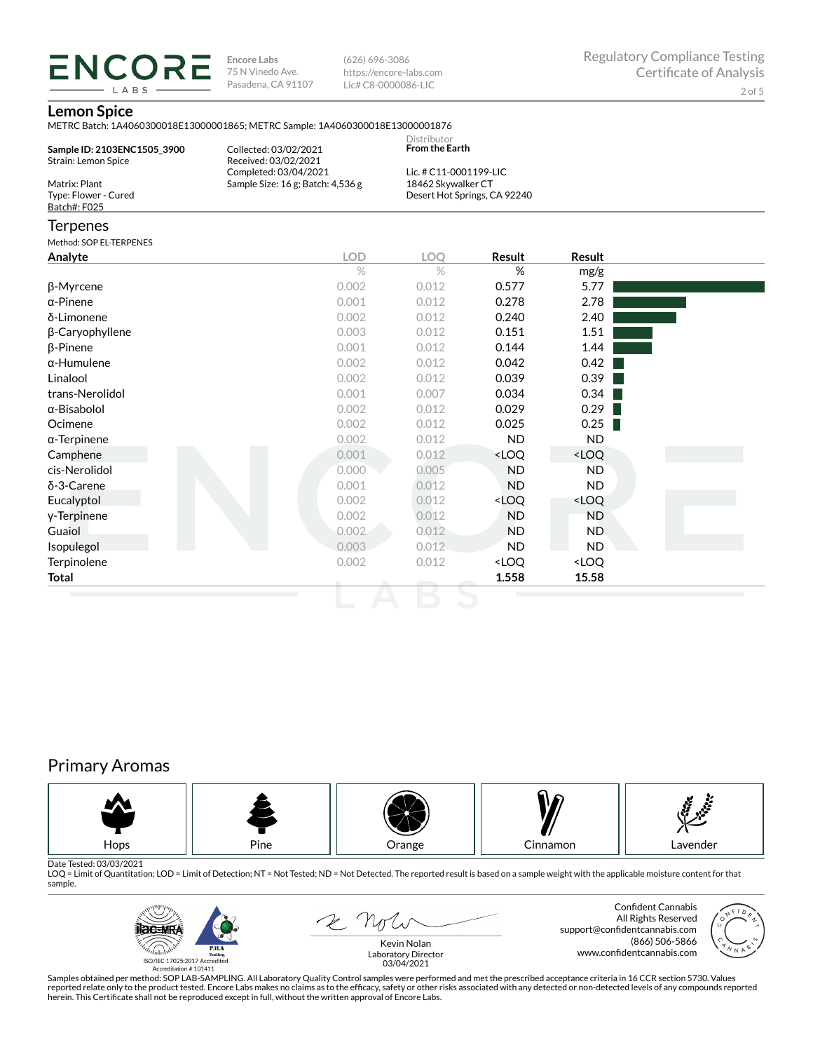**ENCORE Encore Labs** 75 N Vinedo Ave. Pasadena, CA 91107

(626) 696-3086 https://encore-labs.com Lic# C8-0000086-LIC

### **Lemon Spice**

LABS

METRC Batch: 1A4060300018E13000001865; METRC Sample: 1A4060300018E13000001876

| Sample ID: 2103ENC1505 3900<br>Strain: Lemon Spice    | Collected: 03/02/2021<br>Received: 03/02/2021<br>Completed: 03/04/2021 | Distributor<br><b>From the Earth</b><br>Lic. # C11-0001199-LIC |                              |               |  |  |  |
|-------------------------------------------------------|------------------------------------------------------------------------|----------------------------------------------------------------|------------------------------|---------------|--|--|--|
| Matrix: Plant<br>Type: Flower - Cured<br>Batch#: F025 | Sample Size: $16$ g; Batch: $4,536$ g                                  | 18462 Skywalker CT                                             | Desert Hot Springs, CA 92240 |               |  |  |  |
| Terpenes                                              |                                                                        |                                                                |                              |               |  |  |  |
| Method: SOP EL-TERPENES                               |                                                                        |                                                                |                              |               |  |  |  |
| Analvte                                               | LOD                                                                    | LOO                                                            | <b>Result</b>                | <b>Result</b> |  |  |  |

| Analyte             | LUD.  | LUY   | <b>Result</b>                                            | <b>Result</b>                |  |
|---------------------|-------|-------|----------------------------------------------------------|------------------------------|--|
|                     | $\%$  | $\%$  | %                                                        | mg/g                         |  |
| β-Myrcene           | 0.002 | 0.012 | 0.577                                                    | 5.77                         |  |
| $\alpha$ -Pinene    | 0.001 | 0.012 | 0.278                                                    | 2.78                         |  |
| δ-Limonene          | 0.002 | 0.012 | 0.240                                                    | 2.40                         |  |
| β-Caryophyllene     | 0.003 | 0.012 | 0.151                                                    | 1.51                         |  |
| $\beta$ -Pinene     | 0.001 | 0.012 | 0.144                                                    | 1.44                         |  |
| $\alpha$ -Humulene  | 0.002 | 0.012 | 0.042                                                    | 0.42                         |  |
| Linalool            | 0.002 | 0.012 | 0.039                                                    | 0.39                         |  |
| trans-Nerolidol     | 0.001 | 0.007 | 0.034                                                    | 0.34                         |  |
| α-Bisabolol         | 0.002 | 0.012 | 0.029                                                    | 0.29                         |  |
| Ocimene             | 0.002 | 0.012 | 0.025                                                    | 0.25                         |  |
| $\alpha$ -Terpinene | 0.002 | 0.012 | ND.                                                      | ND                           |  |
| Camphene            | 0.001 | 0.012 | <loq< td=""><td><loq< td=""><td></td></loq<></td></loq<> | <loq< td=""><td></td></loq<> |  |
| cis-Nerolidol       | 0.000 | 0.005 | <b>ND</b>                                                | ND.                          |  |
| δ-3-Carene          | 0.001 | 0.012 | <b>ND</b>                                                | ND.                          |  |
| Eucalyptol          | 0.002 | 0.012 | <loq< td=""><td><loq< td=""><td></td></loq<></td></loq<> | <loq< td=""><td></td></loq<> |  |
| y-Terpinene         | 0.002 | 0.012 | <b>ND</b>                                                | ND                           |  |
| Guaiol              | 0.002 | 0.012 | <b>ND</b>                                                | ND.                          |  |
| Isopulegol          | 0.003 | 0.012 | <b>ND</b>                                                | ND.                          |  |
| Terpinolene         | 0.002 | 0.012 | <loq< td=""><td><loq< td=""><td></td></loq<></td></loq<> | <loq< td=""><td></td></loq<> |  |
| Total               |       |       | 1.558                                                    | 15.58                        |  |
|                     |       |       |                                                          |                              |  |

# Primary Aromas



Date Tested: 03/03/2021<br>LOQ = Limit of Quantitation; LOD = Limit of Detection; NT = Not Tested; ND = Not Detected. The reported result is based on a sample weight with the applicable moisture content for that sample.



2 Not

Confident Cannabis All Rights Reserved support@confidentcannabis.com (866) 506-5866 www.confidentcannabis.com



Kevin Nolan Laboratory Director 03/04/2021

Samples obtained per method: SOP LAB-SAMPLING. All Laboratory Quality Control samples were performed and met the prescribed acceptance criteria in 16 CCR section 5730. Values reported relate only to the product tested. Encore Labs makes no claims as to the efficacy, safety or other risks associated with any detected or non-detected levels of any compounds reported<br>herein. This Certificate shall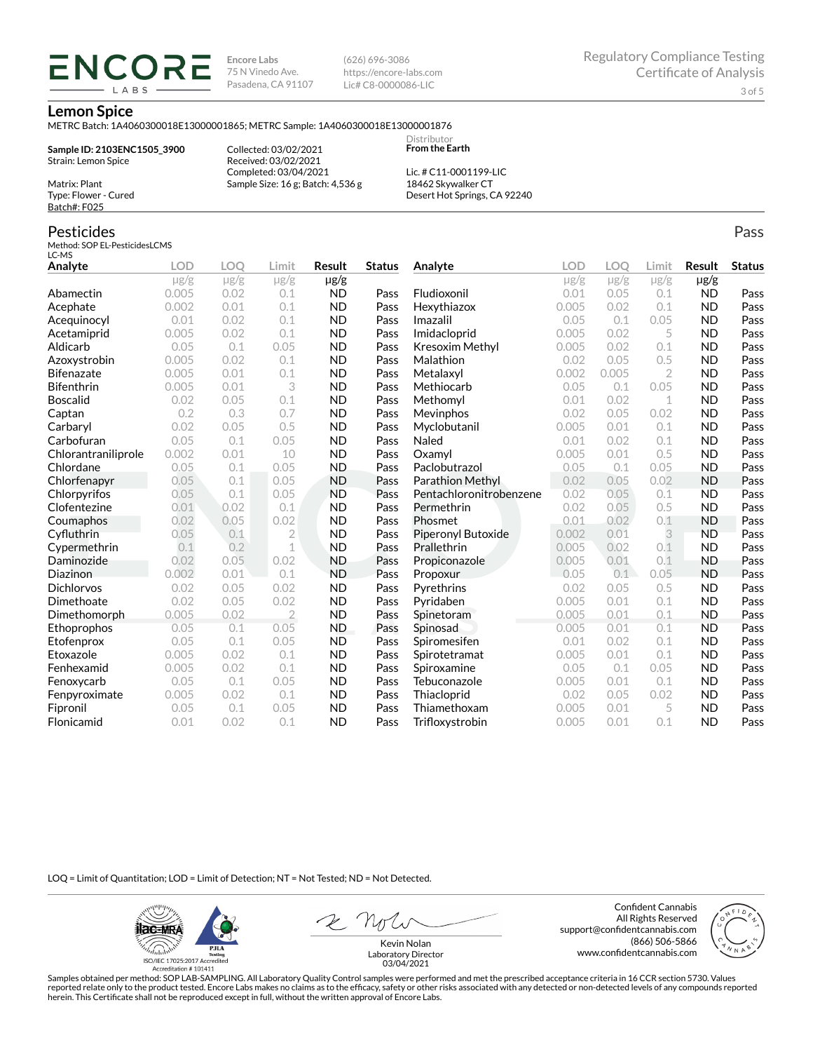**Encore Labs** 75 N Vinedo Ave. Pasadena, CA 91107 (626) 696-3086 https://encore-labs.com Lic# C8-0000086-LIC

> Distributor **From the Earth**

#### **Lemon Spice**

METRC Batch: 1A4060300018E13000001865; METRC Sample: 1A4060300018E13000001876

**Sample ID: 2103ENC1505\_3900** Strain: Lemon Spice Matrix: Plant

**ENCOR** LABS

> Collected: 03/02/2021 Received: 03/02/2021 Completed: 03/04/2021 Sample Size: 16 g; Batch: 4,536 g

Lic. # C11-0001199-LIC 18462 Skywalker CT Desert Hot Springs, CA 92240

### Pesticides

Type: Flower - Cured Batch#: F025

Method: SOP EL-PesticidesLCMS LC-MS

| ᄔᄓᄓ<br>Analyte      | <b>LOD</b> | <b>LOO</b> | Limit          | Result         | <b>Status</b> | Analyte                 | LOD       | LOQ       | Limit          | Result    | <b>Status</b> |
|---------------------|------------|------------|----------------|----------------|---------------|-------------------------|-----------|-----------|----------------|-----------|---------------|
|                     | $\mu$ g/g  | $\mu$ g/g  | $\mu$ g/g      | $\mu$ g/g      |               |                         | $\mu$ g/g | $\mu$ g/g | $\mu$ g/g      | $\mu$ g/g |               |
| Abamectin           | 0.005      | 0.02       | 0.1            | <b>ND</b>      | Pass          | Fludioxonil             | 0.01      | 0.05      | 0.1            | <b>ND</b> | Pass          |
| Acephate            | 0.002      | 0.01       | 0.1            | <b>ND</b>      | Pass          | Hexythiazox             | 0.005     | 0.02      | 0.1            | <b>ND</b> | Pass          |
| Acequinocyl         | 0.01       | 0.02       | 0.1            | <b>ND</b>      | Pass          | Imazalil                | 0.05      | 0.1       | 0.05           | <b>ND</b> | Pass          |
| Acetamiprid         | 0.005      | 0.02       | 0.1            | <b>ND</b>      | Pass          | Imidacloprid            | 0.005     | 0.02      | 5              | <b>ND</b> | Pass          |
| Aldicarb            | 0.05       | 0.1        | 0.05           | <b>ND</b>      | Pass          | Kresoxim Methyl         | 0.005     | 0.02      | 0.1            | <b>ND</b> | Pass          |
| Azoxystrobin        | 0.005      | 0.02       | 0.1            | <b>ND</b>      | Pass          | Malathion               | 0.02      | 0.05      | 0.5            | <b>ND</b> | Pass          |
| <b>Bifenazate</b>   | 0.005      | 0.01       | 0.1            | <b>ND</b>      | Pass          | Metalaxyl               | 0.002     | 0.005     | $\overline{2}$ | <b>ND</b> | Pass          |
| <b>Bifenthrin</b>   | 0.005      | 0.01       | 3              | <b>ND</b>      | Pass          | Methiocarb              | 0.05      | 0.1       | 0.05           | <b>ND</b> | Pass          |
| <b>Boscalid</b>     | 0.02       | 0.05       | 0.1            | <b>ND</b>      | Pass          | Methomyl                | 0.01      | 0.02      | 1              | <b>ND</b> | Pass          |
| Captan              | 0.2        | 0.3        | 0.7            | <b>ND</b>      | Pass          | Mevinphos               | 0.02      | 0.05      | 0.02           | <b>ND</b> | Pass          |
| Carbaryl            | 0.02       | 0.05       | 0.5            | <b>ND</b>      | Pass          | Myclobutanil            | 0.005     | 0.01      | 0.1            | <b>ND</b> | Pass          |
| Carbofuran          | 0.05       | 0.1        | 0.05           | <b>ND</b>      | Pass          | Naled                   | 0.01      | 0.02      | 0.1            | <b>ND</b> | Pass          |
| Chlorantraniliprole | 0.002      | 0.01       | 10             | <b>ND</b>      | Pass          | Oxamyl                  | 0.005     | 0.01      | 0.5            | <b>ND</b> | Pass          |
| Chlordane           | 0.05       | 0.1        | 0.05           | <b>ND</b>      | Pass          | Paclobutrazol           | 0.05      | 0.1       | 0.05           | <b>ND</b> | Pass          |
| Chlorfenapyr        | 0.05       | 0.1        | 0.05           | <b>ND</b>      | Pass          | Parathion Methyl        | 0.02      | 0.05      | 0.02           | <b>ND</b> | Pass          |
| Chlorpyrifos        | 0.05       | 0.1        | 0.05           | <b>ND</b>      | Pass          | Pentachloronitrobenzene | 0.02      | 0.05      | 0.1            | <b>ND</b> | Pass          |
| Clofentezine        | 0.01       | 0.02       | 0.1            | <b>ND</b>      | Pass          | Permethrin              | 0.02      | 0.05      | 0.5            | <b>ND</b> | Pass          |
| Coumaphos           | 0.02       | 0.05       | 0.02           | <b>ND</b>      | Pass          | Phosmet                 | 0.01      | 0.02      | 0.1            | <b>ND</b> | Pass          |
| Cyfluthrin          | 0.05       | 0.1        | 2              | <b>ND</b>      | Pass          | Piperonyl Butoxide      | 0.002     | 0.01      | 3              | <b>ND</b> | Pass          |
| Cypermethrin        | 0.1        | 0.2        | 1              | <b>ND</b>      | Pass          | Prallethrin             | 0.005     | 0.02      | 0.1            | <b>ND</b> | Pass          |
| Daminozide          | 0.02       | 0.05       | 0.02           | <b>ND</b>      | Pass          | Propiconazole           | 0.005     | 0.01      | 0.1            | <b>ND</b> | Pass          |
| Diazinon            | 0.002      | 0.01       | 0.1            | <b>ND</b>      | Pass          | Propoxur                | 0.05      | 0.1       | 0.05           | <b>ND</b> | Pass          |
| <b>Dichlorvos</b>   | 0.02       | 0.05       | 0.02           | <b>ND</b>      | Pass          | Pyrethrins              | 0.02      | 0.05      | 0.5            | <b>ND</b> | Pass          |
| Dimethoate          | 0.02       | 0.05       | 0.02           | <b>ND</b>      | Pass          | Pyridaben               | 0.005     | 0.01      | 0.1            | <b>ND</b> | Pass          |
| Dimethomorph        | 0.005      | 0.02       | $\overline{2}$ | <b>ND</b>      | Pass          | Spinetoram              | 0.005     | 0.01      | 0.1            | <b>ND</b> | Pass          |
| Ethoprophos         | 0.05       | 0.1        | 0.05           | N <sub>D</sub> | Pass          | Spinosad                | 0.005     | 0.01      | 0.1            | <b>ND</b> | Pass          |
| Etofenprox          | 0.05       | 0.1        | 0.05           | <b>ND</b>      | Pass          | Spiromesifen            | 0.01      | 0.02      | 0.1            | <b>ND</b> | Pass          |
| Etoxazole           | 0.005      | 0.02       | 0.1            | <b>ND</b>      | Pass          | Spirotetramat           | 0.005     | 0.01      | 0.1            | <b>ND</b> | Pass          |
| Fenhexamid          | 0.005      | 0.02       | 0.1            | <b>ND</b>      | Pass          | Spiroxamine             | 0.05      | 0.1       | 0.05           | <b>ND</b> | Pass          |
| Fenoxycarb          | 0.05       | 0.1        | 0.05           | <b>ND</b>      | Pass          | Tebuconazole            | 0.005     | 0.01      | 0.1            | <b>ND</b> | Pass          |
| Fenpyroximate       | 0.005      | 0.02       | 0.1            | <b>ND</b>      | Pass          | Thiacloprid             | 0.02      | 0.05      | 0.02           | <b>ND</b> | Pass          |
| Fipronil            | 0.05       | 0.1        | 0.05           | <b>ND</b>      | Pass          | Thiamethoxam            | 0.005     | 0.01      | 5              | <b>ND</b> | Pass          |
| Flonicamid          | 0.01       | 0.02       | 0.1            | <b>ND</b>      | Pass          | Trifloxystrobin         | 0.005     | 0.01      | 0.1            | <b>ND</b> | Pass          |

LOQ = Limit of Quantitation; LOD = Limit of Detection; NT = Not Tested; ND = Not Detected.

**ilac-MRA PJLA**  $d_{\rm thbb}$ ISO/IEC 17025:2017 Ac

Accreditation #101411

Confident Cannabis All Rights Reserved support@confidentcannabis.com (866) 506-5866 www.confidentcannabis.com



Kevin Nolan Laboratory Director 03/04/2021

Samples obtained per method: SOP LAB-SAMPLING. All Laboratory Quality Control samples were performed and met the prescribed acceptance criteria in 16 CCR section 5730. Values reported relate only to the product tested. Encore Labs makes no claims as to the efficacy, safety or other risks associated with any detected or non-detected levels of any compounds reported<br>herein. This Certificate shall

Pass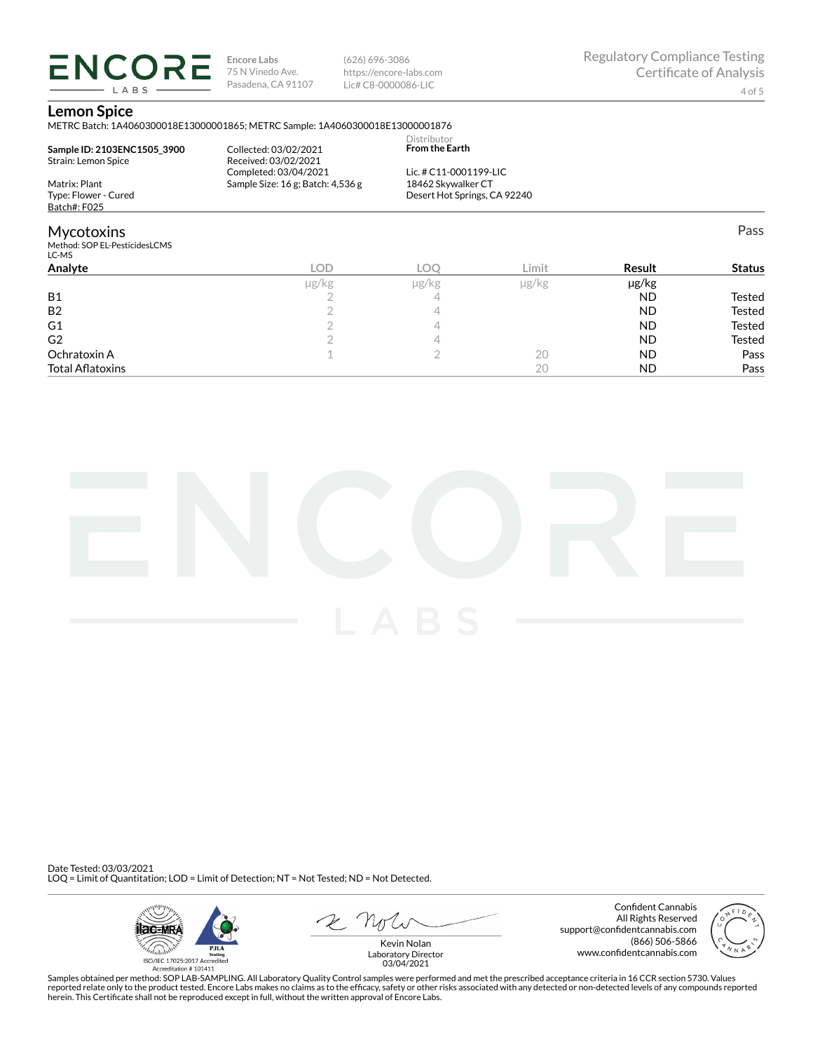**ENCORE Encore Labs** 75 N Vinedo Ave. Pasadena, CA 91107 LABS

(626) 696-3086 https://encore-labs.com Lic# C8-0000086-LIC

Pass

#### **Lemon Spice**

METRC Batch: 1A4060300018E13000001865; METRC Sample: 1A4060300018E13000001876

|                                                       |                                   | Distributor                  |  |
|-------------------------------------------------------|-----------------------------------|------------------------------|--|
| Sample ID: 2103ENC1505 3900                           | Collected: 03/02/2021             | <b>From the Earth</b>        |  |
| Strain: Lemon Spice                                   | Received: 03/02/2021              |                              |  |
|                                                       | Completed: 03/04/2021             | Lic. # C11-0001199-LIC       |  |
| Matrix: Plant                                         | Sample Size: 16 g; Batch: 4,536 g | 18462 Skywalker CT           |  |
| Type: Flower - Cured                                  |                                   | Desert Hot Springs, CA 92240 |  |
| Batch#: F025                                          |                                   |                              |  |
| <b>Mycotoxins</b>                                     |                                   |                              |  |
| Method: SOP EL-PesticidesLCMS<br>$\sim$ $\sim$ $\sim$ |                                   |                              |  |

| LC-MS                   |       |       |               |            |               |
|-------------------------|-------|-------|---------------|------------|---------------|
| Analyte                 | LOD   | LOC   | Limit         | Result     | <b>Status</b> |
|                         | µg/kg | µg/kg | $\mu$ g/ $kg$ | $\mu$ g/kg |               |
| <b>B1</b>               |       |       |               | <b>ND</b>  | Tested        |
| B <sub>2</sub>          |       |       |               | <b>ND</b>  | <b>Tested</b> |
| G <sub>1</sub>          |       |       |               | <b>ND</b>  | <b>Tested</b> |
| G <sub>2</sub>          |       |       |               | <b>ND</b>  | <b>Tested</b> |
| Ochratoxin A            |       |       | 20            | <b>ND</b>  | Pass          |
| <b>Total Aflatoxins</b> |       |       | 20            | <b>ND</b>  | Pass          |



Date Tested: 03/03/2021 LOQ = Limit of Quantitation; LOD = Limit of Detection; NT = Not Tested; ND = Not Detected.



Confident Cannabis All Rights Reserved support@confidentcannabis.com (866) 506-5866 www.confidentcannabis.com



Kevin Nolan Laboratory Director 03/04/2021

Samples obtained per method: SOP LAB-SAMPLING. All Laboratory Quality Control samples were performed and met the prescribed acceptance criteria in 16 CCR section 5730. Values reported relate only to the product tested. Encore Labs makes no claims as to the efficacy, safety or other risks associated with any detected or non-detected levels of any compounds reported<br>herein. This Certificate shall